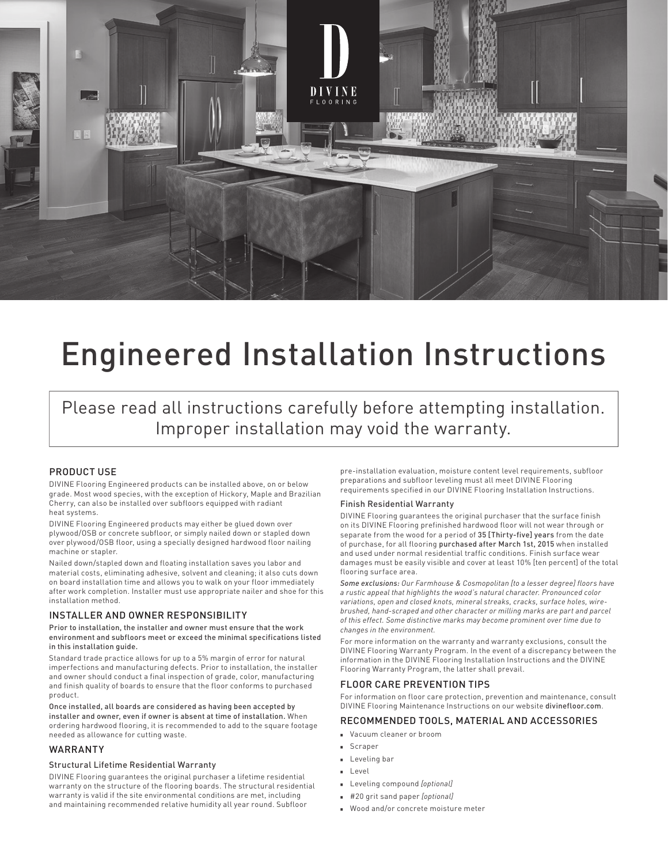

# Engineered Installation Instructions

Please read all instructions carefully before attempting installation. Improper installation may void the warranty.

#### PRODUCT USE

DIVINE Flooring Engineered products can be installed above, on or below grade. Most wood species, with the exception of Hickory, Maple and Brazilian Cherry, can also be installed over subfloors equipped with radiant heat systems.

DIVINE Flooring Engineered products may either be glued down over plywood/OSB or concrete subfloor, or simply nailed down or stapled down over plywood/OSB floor, using a specially designed hardwood floor nailing machine or stapler.

Nailed down/stapled down and floating installation saves you labor and material costs, eliminating adhesive, solvent and cleaning; it also cuts down on board installation time and allows you to walk on your floor immediately after work completion. Installer must use appropriate nailer and shoe for this installation method.

#### INSTALLER AND OWNER RESPONSIBILITY

#### Prior to installation, the installer and owner must ensure that the work environment and subfloors meet or exceed the minimal specifications listed in this installation guide.

Standard trade practice allows for up to a 5% margin of error for natural imperfections and manufacturing defects. Prior to installation, the installer and owner should conduct a final inspection of grade, color, manufacturing and finish quality of boards to ensure that the floor conforms to purchased product.

Once installed, all boards are considered as having been accepted by installer and owner, even if owner is absent at time of installation. When ordering hardwood flooring, it is recommended to add to the square footage needed as allowance for cutting waste.

#### WARRANTY

#### Structural Lifetime Residential Warranty

DIVINE Flooring guarantees the original purchaser a lifetime residential warranty on the structure of the flooring boards. The structural residential warranty is valid if the site environmental conditions are met, including and maintaining recommended relative humidity all year round. Subfloor

pre-installation evaluation, moisture content level requirements, subfloor preparations and subfloor leveling must all meet DIVINE Flooring requirements specified in our DIVINE Flooring Installation Instructions.

#### Finish Residential Warranty

DIVINE Flooring guarantees the original purchaser that the surface finish on its DIVINE Flooring prefinished hardwood floor will not wear through or separate from the wood for a period of 35 [Thirty-five] years from the date of purchase, for all flooring purchased after March 1st, 2015 when installed and used under normal residential traffic conditions. Finish surface wear damages must be easily visible and cover at least 10% [ten percent] of the total flooring surface area.

*Some exclusions: Our Farmhouse & Cosmopolitan [to a lesser degree] floors have a rustic appeal that highlights the wood's natural character. Pronounced color variations, open and closed knots, mineral streaks, cracks, surface holes, wirebrushed, hand-scraped and other character or milling marks are part and parcel of this effect. Some distinctive marks may become prominent over time due to changes in the environment.*

For more information on the warranty and warranty exclusions, consult the DIVINE Flooring Warranty Program. In the event of a discrepancy between the information in the DIVINE Flooring Installation Instructions and the DIVINE Flooring Warranty Program, the latter shall prevail.

#### FLOOR CARE PREVENTION TIPS

For information on floor care protection, prevention and maintenance, consult DIVINE Flooring Maintenance Instructions on our website divinefloor.com.

#### RECOMMENDED TOOLS, MATERIAL AND ACCESSORIES

- <sup>n</sup> Vacuum cleaner or broom
- <sup>n</sup> Scraper
- **Leveling bar**
- **n** Level
- <sup>n</sup> Leveling compound *[optional]*
- <sup>n</sup> #20 grit sand paper *[optional]*
- **Nood and/or concrete moisture meter**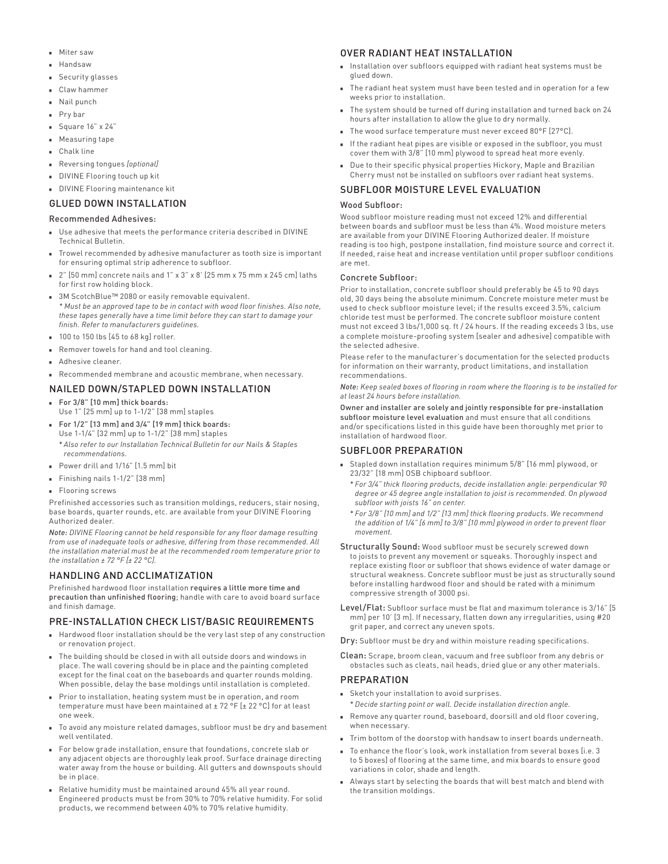- n Miter saw
- Handsaw
- Security glasses
- <sup>n</sup> Claw hammer
- Nail punch
- Pry bar
- <sup>n</sup> Square 16" x 24"
- **n** Measuring tape
- Chalk line
- <sup>n</sup> Reversing tongues *[optional]*
- DIVINE Flooring touch up kit
- DIVINE Flooring maintenance kit

#### GLUED DOWN INSTALLATION

#### Recommended Adhesives:

- Use adhesive that meets the performance criteria described in DIVINE Technical Bulletin.
- <sup>n</sup> Trowel recommended by adhesive manufacturer as tooth size is important for ensuring optimal strip adherence to subfloor.
- 2" [50 mm] concrete nails and 1" x 3" x 8' [25 mm x 75 mm x 245 cm] laths for first row holding block.
- 3M ScotchBlue™ 2080 or easily removable equivalent. *\* Must be an approved tape to be in contact with wood floor finishes. Also note, these tapes generally have a time limit before they can start to damage your finish. Refer to manufacturers guidelines.*
- <sup>n</sup> 100 to 150 lbs [45 to 68 kg] roller.
- Remover towels for hand and tool cleaning.
- Adhesive cleaner.
- Recommended membrane and acoustic membrane, when necessary.

# NAILED DOWN/STAPLED DOWN INSTALLATION

- For 3/8" [10 mm] thick boards: Use 1" [25 mm] up to 1-1/2" [38 mm] staples
- <sup>n</sup> For 1/2" [13 mm] and 3/4" [19 mm] thick boards:
- Use 1-1/4" [32 mm] up to 1-1/2" [38 mm] staples \* *Also refer to our Installation Technical Bulletin for our Nails & Staples recommendations.*
- Power drill and 1/16" [1.5 mm] bit
- Finishing nails  $1-1/2$ " [38 mm]
- **Flooring screws**

Prefinished accessories such as transition moldings, reducers, stair nosing, base boards, quarter rounds, etc. are available from your DIVINE Flooring Authorized dealer.

*Note: DIVINE Flooring cannot be held responsible for any floor damage resulting from use of inadequate tools or adhesive, differing from those recommended. All the installation material must be at the recommended room temperature prior to the installation ± 72 °F [± 22 °C].* 

#### HANDLING AND ACCLIMATIZATION

Prefinished hardwood floor installation requires a little more time and precaution than unfinished flooring; handle with care to avoid board surface and finish damage.

# PRE-INSTALLATION CHECK LIST/BASIC REQUIREMENTS

- n Hardwood floor installation should be the very last step of any construction or renovation project.
- $\blacksquare$  The building should be closed in with all outside doors and windows in place. The wall covering should be in place and the painting completed except for the final coat on the baseboards and quarter rounds molding. When possible, delay the base moldings until installation is completed.
- Prior to installation, heating system must be in operation, and room temperature must have been maintained at ± 72 °F [± 22 °C] for at least one week.
- To avoid any moisture related damages, subfloor must be dry and basement well ventilated.
- <sup>n</sup> For below grade installation, ensure that foundations, concrete slab or any adjacent objects are thoroughly leak proof. Surface drainage directing water away from the house or building. All gutters and downspouts should be in place.
- Relative humidity must be maintained around 45% all year round. Engineered products must be from 30% to 70% relative humidity. For solid products, we recommend between 40% to 70% relative humidity.

## OVER RADIANT HEAT INSTALLATION

- n Installation over subfloors equipped with radiant heat systems must be alued down.
- $\blacksquare$  The radiant heat system must have been tested and in operation for a few weeks prior to installation.
- n The system should be turned off during installation and turned back on 24 hours after installation to allow the glue to dry normally.
- The wood surface temperature must never exceed 80°F [27°C].
- <sup>n</sup> If the radiant heat pipes are visible or exposed in the subfloor, you must cover them with 3/8" [10 mm] plywood to spread heat more evenly.
- Due to their specific physical properties Hickory, Maple and Brazilian Cherry must not be installed on subfloors over radiant heat systems.

#### SUBFLOOR MOISTURE LEVEL EVALUATION

#### Wood Subfloor:

Wood subfloor moisture reading must not exceed 12% and differential between boards and subfloor must be less than 4%. Wood moisture meters are available from your DIVINE Flooring Authorized dealer. If moisture reading is too high, postpone installation, find moisture source and correct it. If needed, raise heat and increase ventilation until proper subfloor conditions are met.

#### Concrete Subfloor:

Prior to installation, concrete subfloor should preferably be 45 to 90 days old, 30 days being the absolute minimum. Concrete moisture meter must be used to check subfloor moisture level; if the results exceed 3.5%, calcium chloride test must be performed. The concrete subfloor moisture content must not exceed 3 lbs/1,000 sq. ft / 24 hours. If the reading exceeds 3 lbs, use a complete moisture-proofing system [sealer and adhesive] compatible with the selected adhesive.

Please refer to the manufacturer's documentation for the selected products for information on their warranty, product limitations, and installation recommendations.

*Note: Keep sealed boxes of flooring in room where the flooring is to be installed for at least 24 hours before installation.*

Owner and installer are solely and jointly responsible for pre-installation subfloor moisture level evaluation and must ensure that all conditions and/or specifications listed in this guide have been thoroughly met prior to installation of hardwood floor.

# SUBFLOOR PREPARATION

- <sup>n</sup> Stapled down installation requires minimum 5/8" [16 mm] plywood, or 23/32" [18 mm] OSB chipboard subfloor.
	- \* *For 3/4" thick flooring products, decide installation angle: perpendicular 90 degree or 45 degree angle installation to joist is recommended. On plywood subfloor with joists 16" on center.*
	- \* *For 3/8" [10 mm] and 1/2" [13 mm] thick flooring products. We recommend the addition of 1/4" [6 mm] to 3/8" [10 mm] plywood in order to prevent floor movement.*
- Structurally Sound: Wood subfloor must be securely screwed down to joists to prevent any movement or squeaks. Thoroughly inspect and replace existing floor or subfloor that shows evidence of water damage or structural weakness. Concrete subfloor must be just as structurally sound before installing hardwood floor and should be rated with a minimum compressive strength of 3000 psi.
- Level/Flat: Subfloor surface must be flat and maximum tolerance is 3/16" [5 mm] per 10' [3 m]. If necessary, flatten down any irregularities, using #20 grit paper, and correct any uneven spots.
- Dry: Subfloor must be dry and within moisture reading specifications.

Clean: Scrape, broom clean, vacuum and free subfloor from any debris or obstacles such as cleats, nail heads, dried glue or any other materials.

#### PREPARATION

- <sup>n</sup> Sketch your installation to avoid surprises.
	- \* *Decide starting point or wall. Decide installation direction angle.*
- **Remove any quarter round, baseboard, doorsill and old floor covering,** when necessary.
- $\blacksquare$  Trim bottom of the doorstop with handsaw to insert boards underneath.
- $\blacksquare$  To enhance the floor's look, work installation from several boxes [i.e. 3 to 5 boxes] of flooring at the same time, and mix boards to ensure good variations in color, shade and length.
- Always start by selecting the boards that will best match and blend with the transition moldings.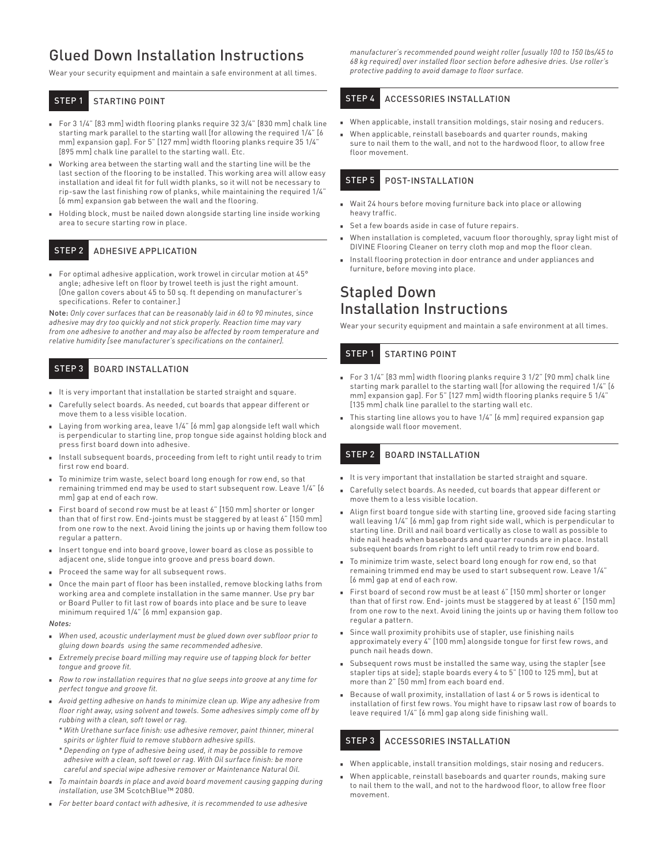# Glued Down Installation Instructions

Wear your security equipment and maintain a safe environment at all times.

STEP 1 STARTING POINT

- For 3 1/4" [83 mm] width flooring planks require 32 3/4" [830 mm] chalk line starting mark parallel to the starting wall [for allowing the required 1/4" [6 mm] expansion gap]. For 5" [127 mm] width flooring planks require 35 1/4" [895 mm] chalk line parallel to the starting wall. Etc.
- **Norking area between the starting wall and the starting line will be the** last section of the flooring to be installed. This working area will allow easy installation and ideal fit for full width planks, so it will not be necessary to rip-saw the last finishing row of planks, while maintaining the required 1/4" [6 mm] expansion gab between the wall and the flooring.
- Holding block, must be nailed down alongside starting line inside working area to secure starting row in place.

# STEP 2 ADHESIVE APPLICATION

For optimal adhesive application, work trowel in circular motion at 45° angle; adhesive left on floor by trowel teeth is just the right amount. [One gallon covers about 45 to 50 sq. ft depending on manufacturer's specifications. Refer to container.]

Note: *Only cover surfaces that can be reasonably laid in 60 to 90 minutes, since adhesive may dry too quickly and not stick properly. Reaction time may vary from one adhesive to another and may also be affected by room temperature and relative humidity [see manufacturer's specifications on the container].* 

# STEP 3 BOARD INSTALLATION

- It is very important that installation be started straight and square.
- <sup>n</sup> Carefully select boards. As needed, cut boards that appear different or move them to a less visible location.
- Laying from working area, leave 1/4" [6 mm] gap alongside left wall which is perpendicular to starting line, prop tongue side against holding block and press first board down into adhesive.
- Install subsequent boards, proceeding from left to right until ready to trim first row end board.
- <sup>n</sup> To minimize trim waste, select board long enough for row end, so that remaining trimmed end may be used to start subsequent row. Leave 1/4" [6 mm] gap at end of each row.
- First board of second row must be at least 6" [150 mm] shorter or longer than that of first row. End-joints must be staggered by at least 6" [150 mm] from one row to the next. Avoid lining the joints up or having them follow too regular a pattern.
- Insert tongue end into board groove, lower board as close as possible to adjacent one, slide tongue into groove and press board down.
- Proceed the same way for all subsequent rows.
- <sup>n</sup> Once the main part of floor has been installed, remove blocking laths from working area and complete installation in the same manner. Use pry bar or Board Puller to fit last row of boards into place and be sure to leave minimum required 1/4" [6 mm] expansion gap.

#### *Notes:*

- <sup>n</sup> *When used, acoustic underlayment must be glued down over subfloor prior to gluing down boards using the same recommended adhesive.*
- **Extremely precise board milling may require use of tapping block for better** *tongue and groove fit.*
- <sup>n</sup> *Row to row installation requires that no glue seeps into groove at any time for perfect tongue and groove fit.*
- <sup>n</sup> *Avoid getting adhesive on hands to minimize clean up. Wipe any adhesive from floor right away, using solvent and towels. Some adhesives simply come off by rubbing with a clean, soft towel or rag.*
- \* *With Urethane surface finish: use adhesive remover, paint thinner, mineral spirits or lighter fluid to remove stubborn adhesive spills.*
- \* *Depending on type of adhesive being used, it may be possible to remove adhesive with a clean, soft towel or rag. With Oil surface finish: be more careful and special wipe adhesive remover or Maintenance Natural Oil.*
- <sup>n</sup> *To maintain boards in place and avoid board movement causing gapping during installation, use* 3M ScotchBlue™ 2080*.*
- <sup>n</sup> *For better board contact with adhesive, it is recommended to use adhesive*

*manufacturer's recommended pound weight roller [usually 100 to 150 lbs/45 to 68 kg required] over installed floor section before adhesive dries. Use roller's protective padding to avoid damage to floor surface.* 

# STEP 4 ACCESSORIES INSTALLATION

- $\blacksquare$  When applicable, install transition moldings, stair nosing and reducers.
- $\blacksquare$  When applicable, reinstall baseboards and quarter rounds, making sure to nail them to the wall, and not to the hardwood floor, to allow free floor movement.

# STEP 5 POST-INSTALLATION

- **Nait 24 hours before moving furniture back into place or allowing** heavy traffic.
- <sup>n</sup> Set a few boards aside in case of future repairs.
- When installation is completed, vacuum floor thoroughly, spray light mist of DIVINE Flooring Cleaner on terry cloth mop and mop the floor clean.
- n Install flooring protection in door entrance and under appliances and furniture, before moving into place.

# Stapled Down Installation Instructions

Wear your security equipment and maintain a safe environment at all times.

# STEP 1 STARTING POINT

- For 3 1/4" [83 mm] width flooring planks require 3 1/2" [90 mm] chalk line starting mark parallel to the starting wall [for allowing the required 1/4" [6 mm] expansion gap]. For 5" [127 mm] width flooring planks require 5 1/4" [135 mm] chalk line parallel to the starting wall etc.
- $\blacksquare$  This starting line allows you to have  $1/4$ " [6 mm] required expansion gap alongside wall floor movement.

# STEP 2 BOARD INSTALLATION

- <sup>n</sup> It is very important that installation be started straight and square.
- <sup>n</sup> Carefully select boards. As needed, cut boards that appear different or move them to a less visible location.
- <sup>n</sup> Align first board tongue side with starting line, grooved side facing starting wall leaving 1/4" [6 mm] gap from right side wall, which is perpendicular to starting line. Drill and nail board vertically as close to wall as possible to hide nail heads when baseboards and quarter rounds are in place. Install subsequent boards from right to left until ready to trim row end board.
- $\blacksquare$  To minimize trim waste, select board long enough for row end, so that remaining trimmed end may be used to start subsequent row. Leave 1/4" [6 mm] gap at end of each row.
- <sup>n</sup> First board of second row must be at least 6" [150 mm] shorter or longer than that of first row. End- joints must be staggered by at least 6" [150 mm] from one row to the next. Avoid lining the joints up or having them follow too regular a pattern.
- Since wall proximity prohibits use of stapler, use finishing nails approximately every 4" [100 mm] alongside tongue for first few rows, and punch nail heads down.
- <sup>n</sup> Subsequent rows must be installed the same way, using the stapler [see stapler tips at side]; staple boards every 4 to 5" [100 to 125 mm], but at more than 2" [50 mm] from each board end.
- Because of wall proximity, installation of last 4 or 5 rows is identical to installation of first few rows. You might have to ripsaw last row of boards to leave required 1/4" [6 mm] gap along side finishing wall.

# STEP 3 ACCESSORIES INSTALLATION

- $\blacksquare$  When applicable, install transition moldings, stair nosing and reducers.
- $\blacksquare$  When applicable, reinstall baseboards and quarter rounds, making sure to nail them to the wall, and not to the hardwood floor, to allow free floor movement.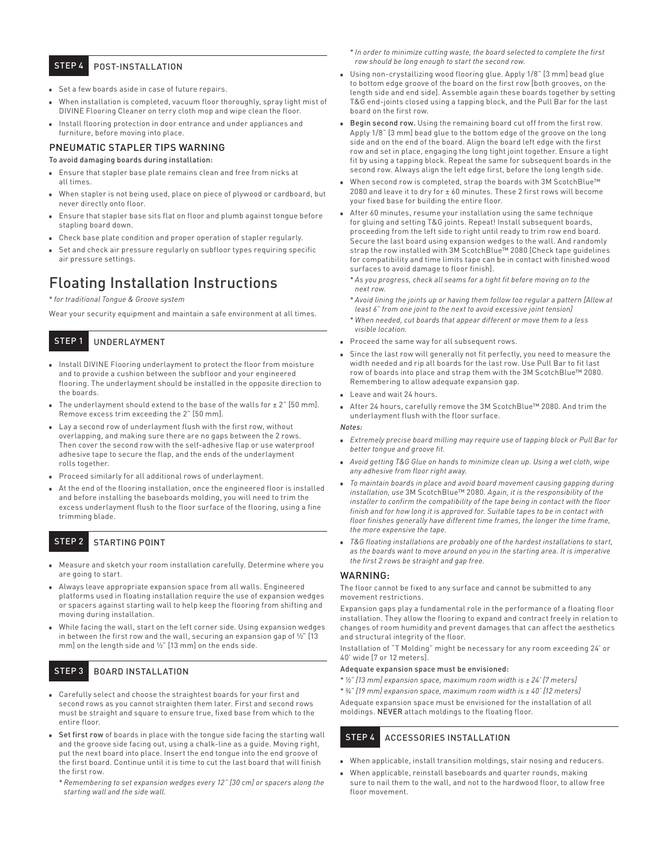# STEP 4 **POST-INSTALLATION**

- <sup>n</sup> Set a few boards aside in case of future repairs.
- When installation is completed, vacuum floor thoroughly, spray light mist of DIVINE Flooring Cleaner on terry cloth mop and wipe clean the floor.
- Install flooring protection in door entrance and under appliances and furniture, before moving into place.

# PNEUMATIC STAPLER TIPS WARNING

#### To avoid damaging boards during installation:

- **Ensure that stapler base plate remains clean and free from nicks at** all times.
- When stapler is not being used, place on piece of plywood or cardboard, but never directly onto floor.
- <sup>n</sup> Ensure that stapler base sits flat on floor and plumb against tongue before stapling board down.
- Check base plate condition and proper operation of stapler regularly.
- Set and check air pressure regularly on subfloor types requiring specific air pressure settings.

# Floating Installation Instructions

\* *for traditional Tongue & Groove system*

Wear your security equipment and maintain a safe environment at all times.

# STEP 1 UNDERLAYMENT

- Install DIVINE Flooring underlayment to protect the floor from moisture and to provide a cushion between the subfloor and your engineered flooring. The underlayment should be installed in the opposite direction to the boards.
- The underlayment should extend to the base of the walls for  $\pm 2$ " [50 mm]. Remove excess trim exceeding the 2" [50 mm].
- Lay a second row of underlayment flush with the first row, without overlapping, and making sure there are no gaps between the 2 rows. Then cover the second row with the self-adhesive flap or use waterproof adhesive tape to secure the flap, and the ends of the underlayment rolls together.
- **Proceed similarly for all additional rows of underlayment.**
- At the end of the flooring installation, once the engineered floor is installed and before installing the baseboards molding, you will need to trim the excess underlayment flush to the floor surface of the flooring, using a fine trimming blade.

# STEP 2 STARTING POINT

- <sup>n</sup> Measure and sketch your room installation carefully. Determine where you are going to start.
- <sup>n</sup> Always leave appropriate expansion space from all walls. Engineered platforms used in floating installation require the use of expansion wedges or spacers against starting wall to help keep the flooring from shifting and moving during installation.
- While facing the wall, start on the left corner side. Using expansion wedges in between the first row and the wall, securing an expansion gap of ½" [13 mm] on the length side and ½" [13 mm] on the ends side.

#### STEP 3 BOARD INSTALLATION

- <sup>n</sup> Carefully select and choose the straightest boards for your first and second rows as you cannot straighten them later. First and second rows must be straight and square to ensure true, fixed base from which to the entire floor.
- **Set first row** of boards in place with the tongue side facing the starting wall and the groove side facing out, using a chalk-line as a guide. Moving right, put the next board into place. Insert the end tongue into the end groove of the first board. Continue until it is time to cut the last board that will finish the first row.
	- \* *Remembering to set expansion wedges every 12" [30 cm] or spacers along the starting wall and the side wall.*
- \* *In order to minimize cutting waste, the board selected to complete the first row should be long enough to start the second row.*
- **Danal Histon** 18 Using non-crystallizing wood flooring glue. Apply 1/8" [3 mm] bead glue to bottom edge groove of the board on the first row [both grooves, on the length side and end side]. Assemble again these boards together by setting T&G end-joints closed using a tapping block, and the Pull Bar for the last board on the first row.
- **Begin second row.** Using the remaining board cut off from the first row. Apply 1/8" [3 mm] bead glue to the bottom edge of the groove on the long side and on the end of the board. Align the board left edge with the first row and set in place, engaging the long tight joint together. Ensure a tight fit by using a tapping block. Repeat the same for subsequent boards in the second row. Always align the left edge first, before the long length side.
- When second row is completed, strap the boards with 3M ScotchBlue™ 2080 and leave it to dry for ± 60 minutes. These 2 first rows will become your fixed base for building the entire floor.
- <sup>n</sup> After 60 minutes, resume your installation using the same technique for gluing and setting T&G joints. Repeat! Install subsequent boards, proceeding from the left side to right until ready to trim row end board. Secure the last board using expansion wedges to the wall. And randomly strap the row installed with 3M ScotchBlue™ 2080 [Check tape quidelines for compatibility and time limits tape can be in contact with finished wood surfaces to avoid damage to floor finish].
	- \* *As you progress, check all seams for a tight fit before moving on to the next row.*
	- \* *Avoid lining the joints up or having them follow too regular a pattern [Allow at least 6" from one joint to the next to avoid excessive joint tension]*
	- \* *When needed, cut boards that appear different or move them to a less visible location.*
- Proceed the same way for all subsequent rows.
- <sup>n</sup> Since the last row will generally not fit perfectly, you need to measure the width needed and rip all boards for the last row. Use Pull Bar to fit last row of boards into place and strap them with the 3M ScotchBlue™ 2080. Remembering to allow adequate expansion gap.
- Leave and wait 24 hours.
- After 24 hours, carefully remove the 3M ScotchBlue™ 2080. And trim the underlayment flush with the floor surface.

#### *Notes:*

- **Extremely precise board milling may require use of tapping block or Pull Bar for** *better tongue and groove fit.*
- **n** Avoid getting T&G Glue on hands to minimize clean up. Using a wet cloth, wipe *any adhesive from floor right away.*
- <sup>n</sup> *To maintain boards in place and avoid board movement causing gapping during installation, use* 3M ScotchBlue™ 2080*. Again, it is the responsibility of the installer to confirm the compatibility of the tape being in contact with the floor finish and for how long it is approved for. Suitable tapes to be in contact with floor finishes generally have different time frames, the longer the time frame, the more expensive the tape.*
- *T&G floating installations are probably one of the hardest installations to start, as the boards want to move around on you in the starting area. It is imperative the first 2 rows be straight and gap free.*

#### WARNING:

The floor cannot be fixed to any surface and cannot be submitted to any movement restrictions.

Expansion gaps play a fundamental role in the performance of a floating floor installation. They allow the flooring to expand and contract freely in relation to changes of room humidity and prevent damages that can affect the aesthetics and structural integrity of the floor.

Installation of "T Molding" might be necessary for any room exceeding 24' or 40' wide [7 or 12 meters].

#### Adequate expansion space must be envisioned:

- \* *½" [13 mm] expansion space, maximum room width is ± 24' [7 meters]*
- \* *¾" [19 mm] expansion space, maximum room width is ± 40' [12 meters]*

Adequate expansion space must be envisioned for the installation of all moldings. NEVER attach moldings to the floating floor.

# STEP 4 ACCESSORIES INSTALLATION

- $\blacksquare$  When applicable, install transition moldings, stair nosing and reducers.
- $\blacksquare$  When applicable, reinstall baseboards and quarter rounds, making sure to nail them to the wall, and not to the hardwood floor, to allow free floor movement.